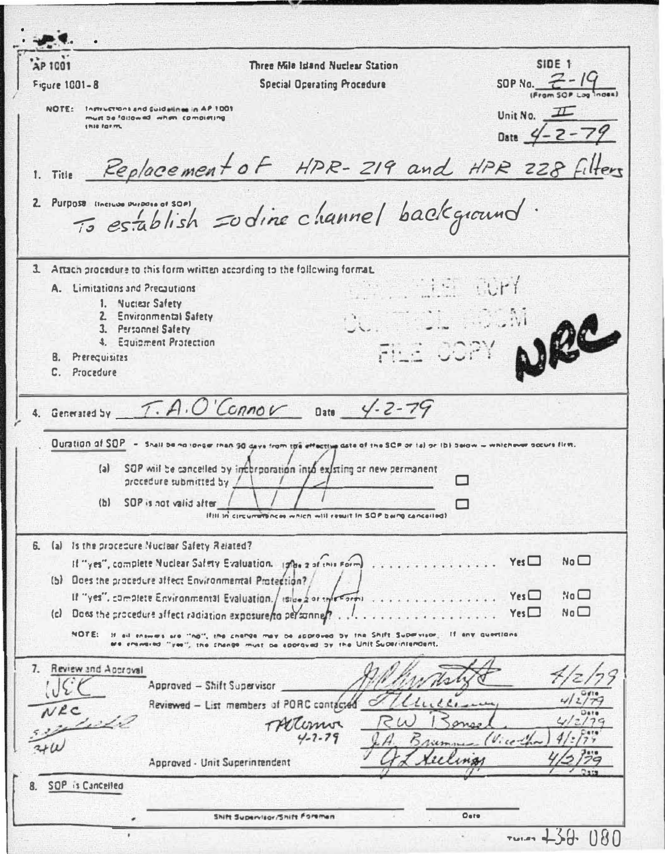**AP 1001**  $SIDE$ <sub>1</sub> Three Mile Island Nuclear Station SOP No.  $Z - 19$ Figure 1001-8 **Special Operating Procedure** NOTE: Inmustrons and suidalines in AP 1001 Unit No.  $I\!\!I\!\!I$ must be fallowed when completing Date  $4 - 2 - 7$ **LOUR FOR THE** Replacement of HPR-219 and HPR 228 filters 1. Title 2 Purpose increase envous et sont 3. Attach procedure to this form written according to the following format.  $\cdot$ . A. Limitations and Precautions 1. Nuclear Safety 2. Environmental Safety 3. Personnel Safety 4. Equipment Protection B. Prerequisites C. Procedure  $T.A.O'Canov$  Date  $4-2-79$ 4. Generated by Duration of SOP - Shall be no longer than 90 days from the effective date of the SCP or tal or ibi balow - whichever socure firm. (a) SOP will be cancelled by interporation into existing or new permanent procedure submitted by /  $\Box$ (b) SOP is not valid after If III in circumstances which will result in SOP being cancelled! 6. (a) Is the procedure Nuclear Safety Related?  $Yes \Box$  $Na<sub>2</sub>$ If "ves", complete Nuclear Safety Evaluation. 1986 2 of this Form (b) Does the procedure affect Environmental Protection? If "ves", complete Environmental Evaluation, / iside 2 or the Formi  $Y_{est}$  $Na<sub>2</sub>$  $No<sup>1</sup>$  $.$  Yes (c) Does the procedure affect radiation exposure/to personne/? NOTE: If all enswers are "half, the change may be approved by the Shift Supervisor. If any questions are entimented. "yea", the change must be approved by the Unit Superintendent. 7. Review and Approval Approved - Shift Supervisor Reviewed - List members of PORC contacted  $NRC$ TACComo 1210 Approved - Unit Superintendent SOP is Cancelled  $8.$  $O<sub>0</sub>$ Shift Supervisor/Shift Foreman  $74.439.180$